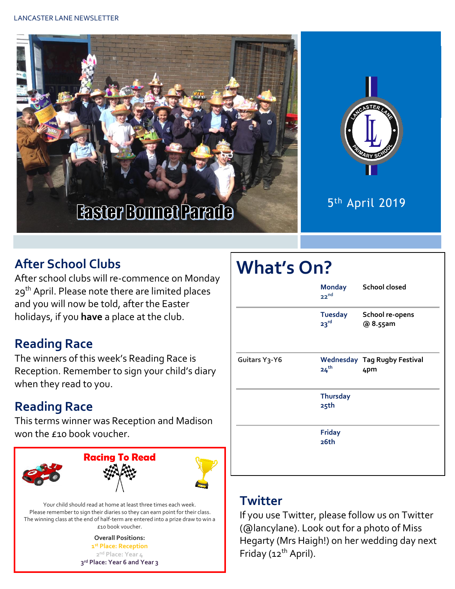



5 th April 2019

#### **After School Clubs**

After school clubs will re-commence on Monday 29<sup>th</sup> April. Please note there are limited places and you will now be told, after the Easter holidays, if you **have** a place at the club.

#### **Reading Race**

The winners of this week's Reading Race is Reception. Remember to sign your child's diary when they read to you.

### **Reading Race**

This terms winner was Reception and Madison won the £10 book voucher.



Your child should read at home at least three times each week. Please remember to sign their diaries so they can earn point for their class. The winning class at the end of half-term are entered into a prize draw to win a £10 book voucher.

> **Overall Positions: st Place: Reception nd Place: Year 4 rd Place: Year 6 and Year 3**

# **What's On?**

|               | <b>Monday</b><br>22 <sup>nd</sup>  | <b>School closed</b>                       |
|---------------|------------------------------------|--------------------------------------------|
|               | <b>Tuesday</b><br>23 <sup>rd</sup> | School re-opens<br>@ 8.55am                |
| Guitars Y3-Y6 | 24 <sup>th</sup>                   | <b>Wednesday Tag Rugby Festival</b><br>4pm |
|               | <b>Thursday</b><br>25th            |                                            |
|               | <b>Friday</b><br>26th              |                                            |

#### **Twitter**

If you use Twitter, please follow us on Twitter (@lancylane). Look out for a photo of Miss Hegarty (Mrs Haigh!) on her wedding day next Friday (12<sup>th</sup> April).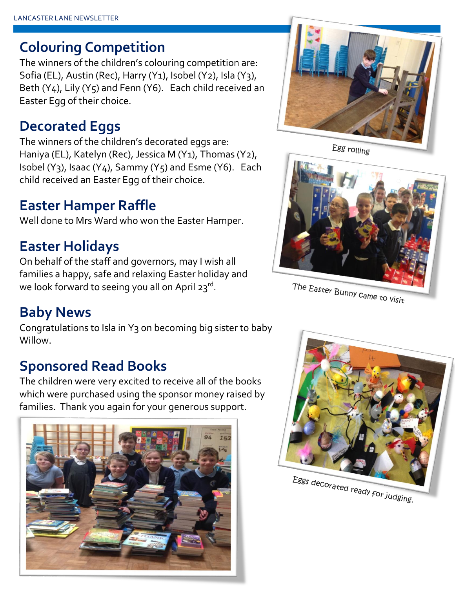## **Colouring Competition**

The winners of the children's colouring competition are: Sofia (EL), Austin (Rec), Harry (Y1), Isobel (Y2), Isla (Y3), Beth (Y4), Lily (Y5) and Fenn (Y6). Each child received an Easter Egg of their choice.

## **Decorated Eggs**

The winners of the children's decorated eggs are: Haniya (EL), Katelyn (Rec), Jessica M (Y1), Thomas (Y2), Isobel (Y<sub>3</sub>), Isaac (Y<sub>4</sub>), Sammy (Y<sub>5</sub>) and Esme (Y6). Each child received an Easter Egg of their choice.

## **Easter Hamper Raffle**

Well done to Mrs Ward who won the Easter Hamper.

## **Easter Holidays**

On behalf of the staff and governors, may I wish all families a happy, safe and relaxing Easter holiday and we look forward to seeing you all on April 23rd.

## **Baby News**

Congratulations to Isla in Y3 on becoming big sister to baby Willow.

## **Sponsored Read Books**

The children were very excited to receive all of the books which were purchased using the sponsor money raised by families. Thank you again for your generous support.





Egg rolling



The Easter Bunny came to visit